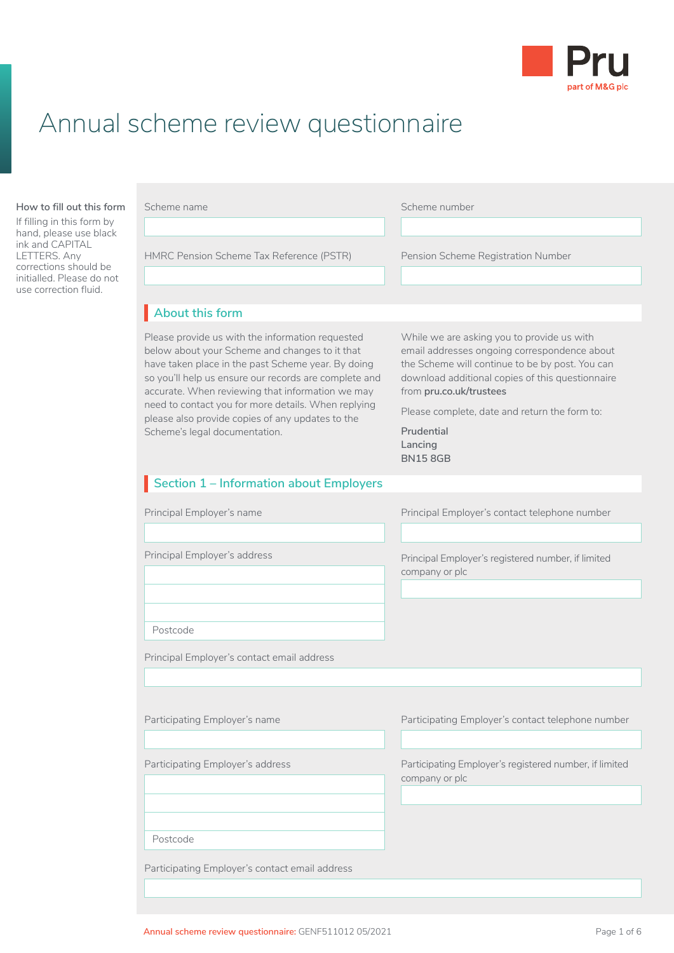

# Annual scheme review questionnaire

#### **How to fill out this form**

If filling in this form by hand, please use black ink and CAPITAL LETTERS. Any corrections should be initialled. Please do not use correction fluid.

| Scheme name                                                                                                                                                                                                                                                                                                                                                                                                       | Scheme number                                                                                                                                                                                                                |
|-------------------------------------------------------------------------------------------------------------------------------------------------------------------------------------------------------------------------------------------------------------------------------------------------------------------------------------------------------------------------------------------------------------------|------------------------------------------------------------------------------------------------------------------------------------------------------------------------------------------------------------------------------|
|                                                                                                                                                                                                                                                                                                                                                                                                                   |                                                                                                                                                                                                                              |
| HMRC Pension Scheme Tax Reference (PSTR)                                                                                                                                                                                                                                                                                                                                                                          | Pension Scheme Registration Number                                                                                                                                                                                           |
|                                                                                                                                                                                                                                                                                                                                                                                                                   |                                                                                                                                                                                                                              |
| About this form                                                                                                                                                                                                                                                                                                                                                                                                   |                                                                                                                                                                                                                              |
| Please provide us with the information requested<br>below about your Scheme and changes to it that<br>have taken place in the past Scheme year. By doing<br>so you'll help us ensure our records are complete and<br>accurate. When reviewing that information we may<br>need to contact you for more details. When replying<br>please also provide copies of any updates to the<br>Scheme's legal documentation. | While we are asking you to provide us with<br>email addresses ongoing correspondence about<br>the Scheme will continue to be by post. You can<br>download additional copies of this questionnaire<br>from pru.co.uk/trustees |
|                                                                                                                                                                                                                                                                                                                                                                                                                   | Please complete, date and return the form to:                                                                                                                                                                                |
|                                                                                                                                                                                                                                                                                                                                                                                                                   | Prudential<br>Lancing<br><b>BN158GB</b>                                                                                                                                                                                      |
| Section 1 - Information about Employers                                                                                                                                                                                                                                                                                                                                                                           |                                                                                                                                                                                                                              |
| Principal Employer's name                                                                                                                                                                                                                                                                                                                                                                                         | Principal Employer's contact telephone number                                                                                                                                                                                |
| Principal Employer's address                                                                                                                                                                                                                                                                                                                                                                                      | Principal Employer's registered number, if limited<br>company or plc                                                                                                                                                         |
| Postcode                                                                                                                                                                                                                                                                                                                                                                                                          |                                                                                                                                                                                                                              |
| Principal Employer's contact email address                                                                                                                                                                                                                                                                                                                                                                        |                                                                                                                                                                                                                              |

Participating Employer's address

Postcode

Participating Employer's contact email address

Participating Employer's name **Participating Employer's contact telephone number** 

Participating Employer's registered number, if limited company or plc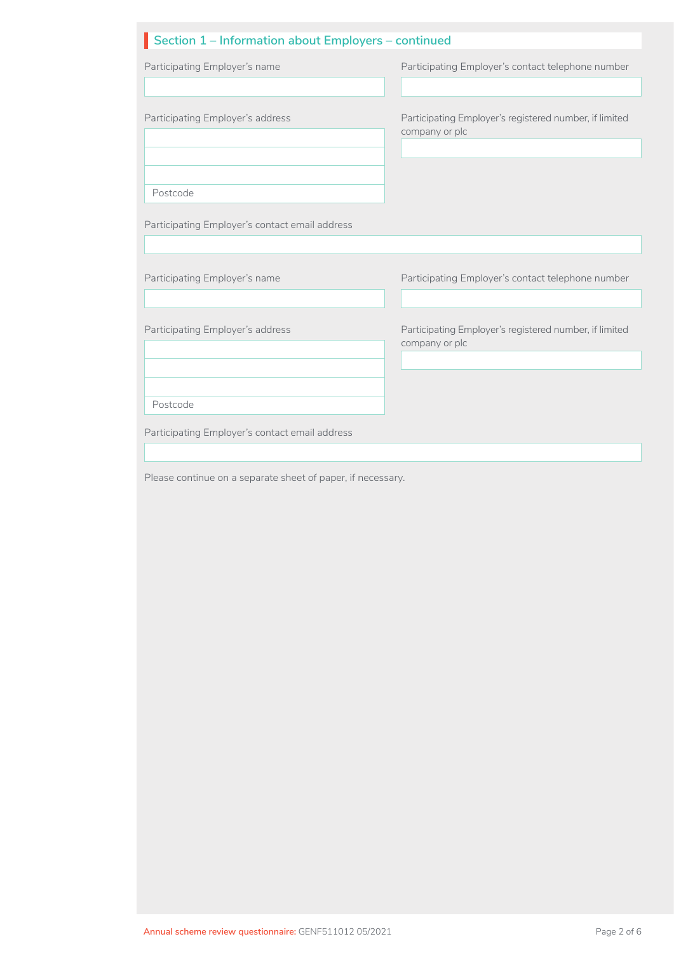#### **Section 1 – Information about Employers – continued** II o

| Section 1 – information about Employers – continued |                                                                          |
|-----------------------------------------------------|--------------------------------------------------------------------------|
| Participating Employer's name                       | Participating Employer's contact telephone number                        |
| Participating Employer's address                    | Participating Employer's registered number, if limited<br>company or plc |
| Postcode                                            |                                                                          |
| Participating Employer's contact email address      |                                                                          |
|                                                     |                                                                          |
| Participating Employer's name                       | Participating Employer's contact telephone number                        |
| Participating Employer's address                    | Participating Employer's registered number, if limited<br>company or plc |
| Postcode                                            |                                                                          |
| Participating Employer's contact email address      |                                                                          |
|                                                     |                                                                          |

Please continue on a separate sheet of paper, if necessary.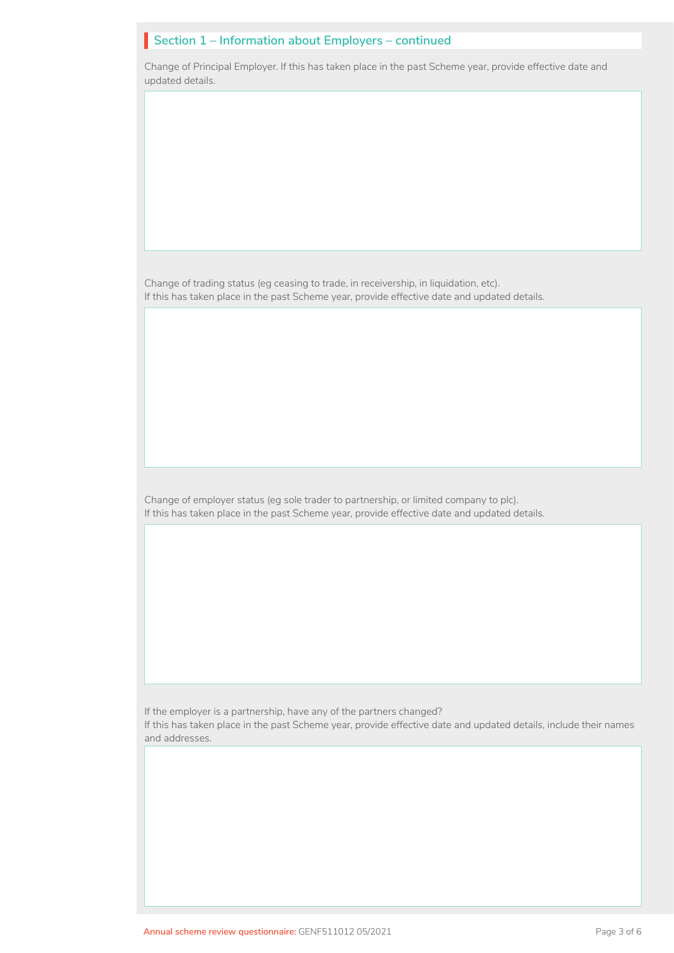# **Section 1 – Information about Employers – continued** I

Change of Principal Employer. If this has taken place in the past Scheme year, provide effective date and updated details.

Change of trading status (eg ceasing to trade, in receivership, in liquidation, etc). If this has taken place in the past Scheme year, provide effective date and updated details.

Change of employer status (eg sole trader to partnership, or limited company to plc). If this has taken place in the past Scheme year, provide effective date and updated details.

If the employer is a partnership, have any of the partners changed?

If this has taken place in the past Scheme year, provide effective date and updated details, include their names and addresses.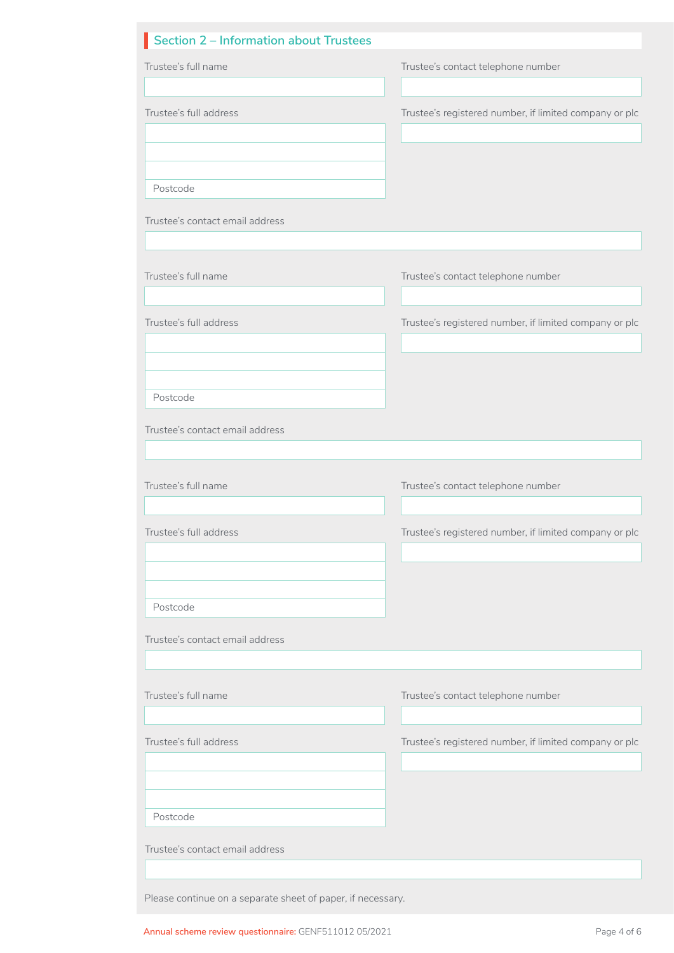| Section 2 – Information about Trustees                      |                                                        |
|-------------------------------------------------------------|--------------------------------------------------------|
| Trustee's full name                                         | Trustee's contact telephone number                     |
|                                                             |                                                        |
| Trustee's full address                                      | Trustee's registered number, if limited company or plc |
|                                                             |                                                        |
|                                                             |                                                        |
| Postcode                                                    |                                                        |
| Trustee's contact email address                             |                                                        |
|                                                             |                                                        |
|                                                             |                                                        |
| Trustee's full name                                         | Trustee's contact telephone number                     |
|                                                             |                                                        |
| Trustee's full address                                      | Trustee's registered number, if limited company or plc |
|                                                             |                                                        |
|                                                             |                                                        |
| Postcode                                                    |                                                        |
| Trustee's contact email address                             |                                                        |
|                                                             |                                                        |
| Trustee's full name                                         |                                                        |
|                                                             | Trustee's contact telephone number                     |
| Trustee's full address                                      | Trustee's registered number, if limited company or plc |
|                                                             |                                                        |
|                                                             |                                                        |
|                                                             |                                                        |
| Postcode                                                    |                                                        |
| Trustee's contact email address                             |                                                        |
|                                                             |                                                        |
| Trustee's full name                                         | Trustee's contact telephone number                     |
|                                                             |                                                        |
| Trustee's full address                                      | Trustee's registered number, if limited company or plc |
|                                                             |                                                        |
|                                                             |                                                        |
| Postcode                                                    |                                                        |
|                                                             |                                                        |
| Trustee's contact email address                             |                                                        |
|                                                             |                                                        |
| Please continue on a separate sheet of paper, if necessary. |                                                        |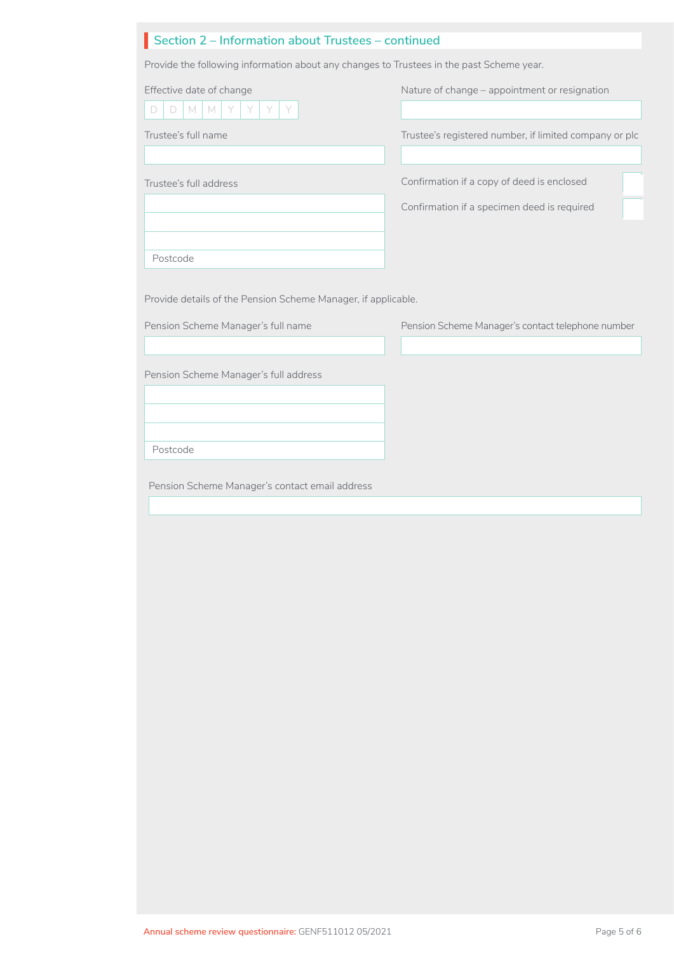| Section 2 – Information about Trustees – continued |
|----------------------------------------------------|
|                                                    |

Provide the following information about any changes to Trustees in the past Scheme year.

| Effective date of change<br>$\Box$<br>M<br>M<br>Y<br>D        | Nature of change – appointment or resignation          |  |
|---------------------------------------------------------------|--------------------------------------------------------|--|
| Trustee's full name                                           | Trustee's registered number, if limited company or plc |  |
| Trustee's full address                                        | Confirmation if a copy of deed is enclosed             |  |
|                                                               | Confirmation if a specimen deed is required            |  |
| Postcode                                                      |                                                        |  |
| Provide details of the Pension Scheme Manager, if applicable. |                                                        |  |
| Pension Scheme Manager's full name                            | Pension Scheme Manager's contact telephone number      |  |
|                                                               |                                                        |  |
| Pension Scheme Manager's full address                         |                                                        |  |
|                                                               |                                                        |  |

Postcode

Pension Scheme Manager's contact email address